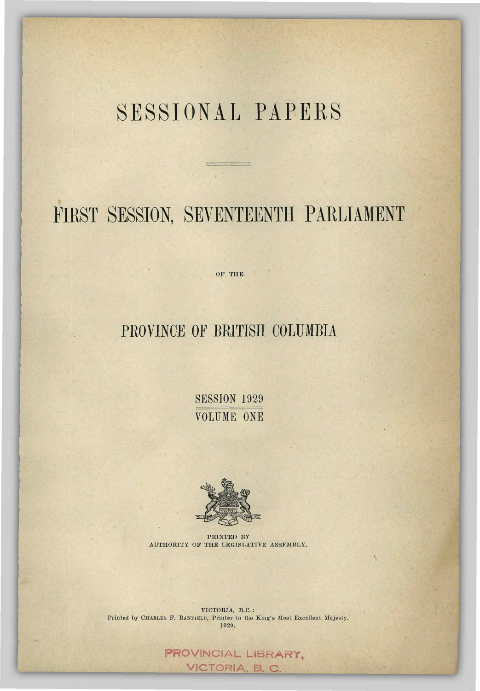## SESSIONAL PAPERS

## FIRST SESSION, SEVENTEENTH PARLIAMENT

OF THE

## PROVINCE OF BRITISH COLUMBIA

**SESSION 1929** VOLUME ONE



PRINTED BY AUTHORITY OF THE LEGISLATIVE ASSEMBLY.

VICTORIA, B.C. : Printed by CHARLES F. BANFIELD, Printer to the King's Most Excellent Majesty. 1929.

> PROVINCIAL LIBRARY, VICTORIA. B. C.